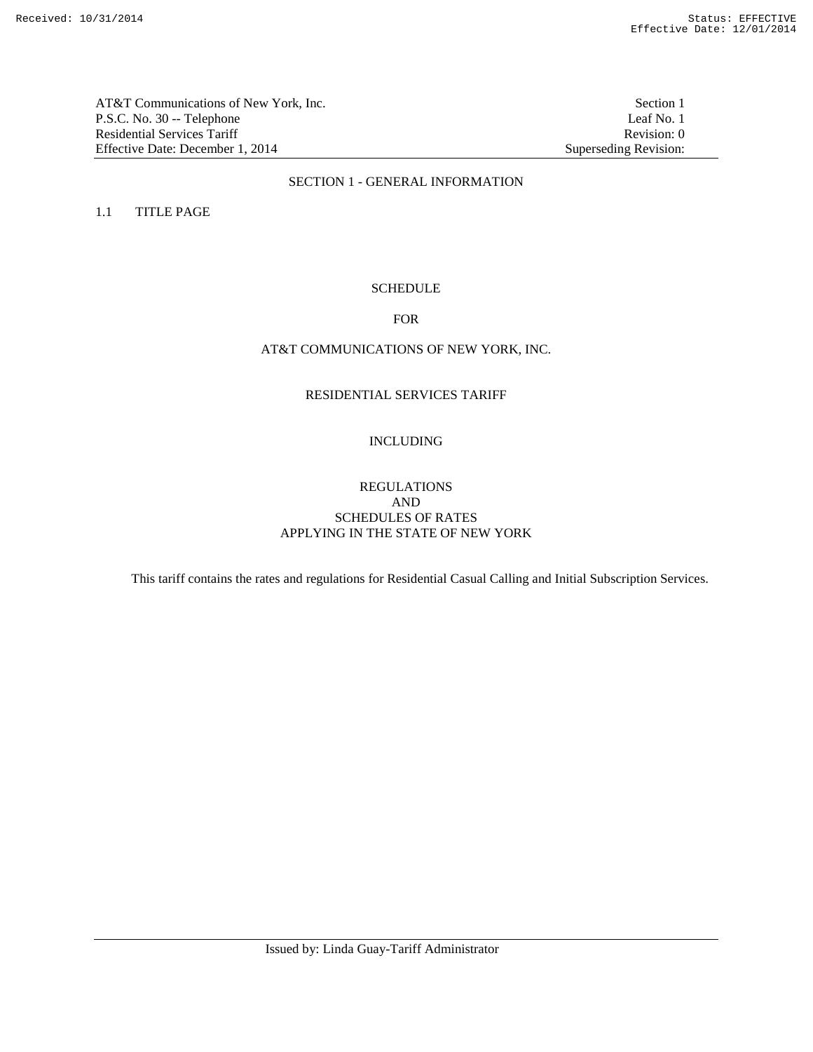AT&T Communications of New York, Inc.<br>
P.S.C. No. 30 -- Telephone<br>
Leaf No. 1 P.S.C. No. 30 -- Telephone Residential Services Tariff Revision: 0<br>
Effective Date: December 1, 2014 Superseding Revision: 0 Effective Date: December 1, 2014

### SECTION 1 - GENERAL INFORMATION

1.1 TITLE PAGE

## **SCHEDULE**

### FOR

## AT&T COMMUNICATIONS OF NEW YORK, INC.

# RESIDENTIAL SERVICES TARIFF

# INCLUDING

## REGULATIONS AND SCHEDULES OF RATES APPLYING IN THE STATE OF NEW YORK

This tariff contains the rates and regulations for Residential Casual Calling and Initial Subscription Services.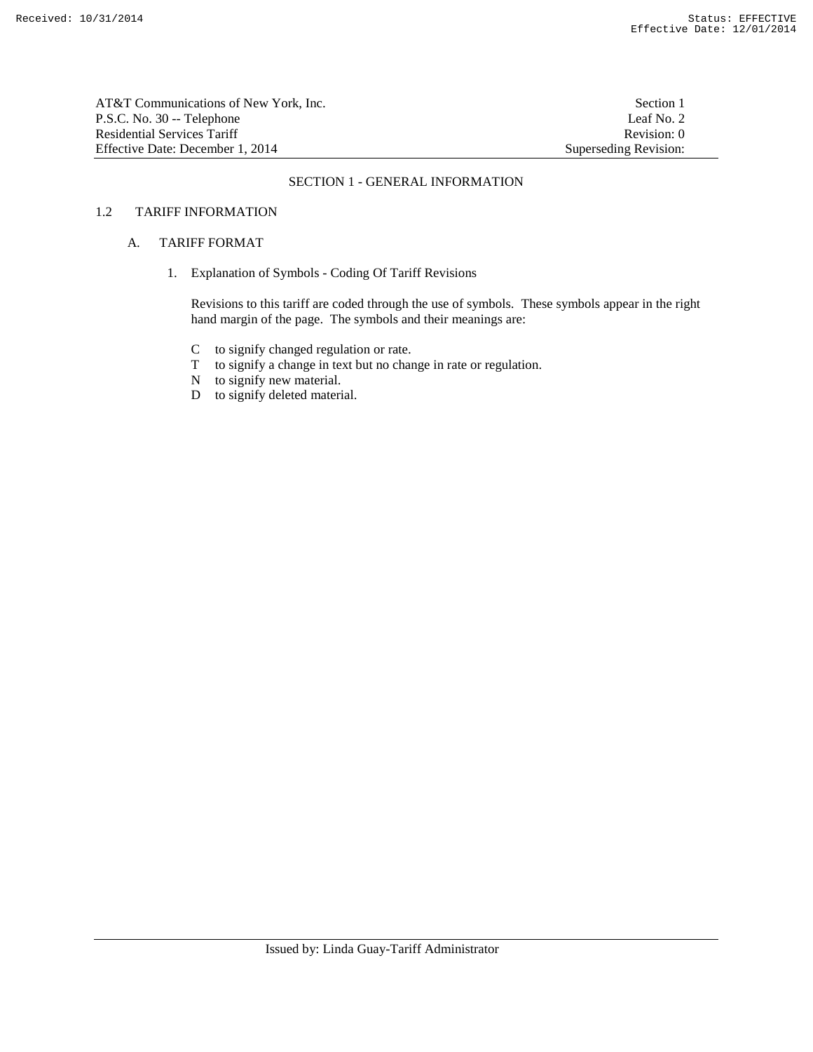| AT&T Communications of New York. Inc. | Section 1             |
|---------------------------------------|-----------------------|
| P.S.C. No. 30 -- Telephone            | Leaf No. 2            |
| Residential Services Tariff           | Revision: 0           |
| Effective Date: December 1, 2014      | Superseding Revision: |

### SECTION 1 - GENERAL INFORMATION

### 1.2 TARIFF INFORMATION

### A. TARIFF FORMAT

1. Explanation of Symbols - Coding Of Tariff Revisions

 Revisions to this tariff are coded through the use of symbols. These symbols appear in the right hand margin of the page. The symbols and their meanings are:

- C to signify changed regulation or rate.
- to signify a change in text but no change in rate or regulation.
- T to signify a change in tex<br>N to signify new material.
- D to signify deleted material.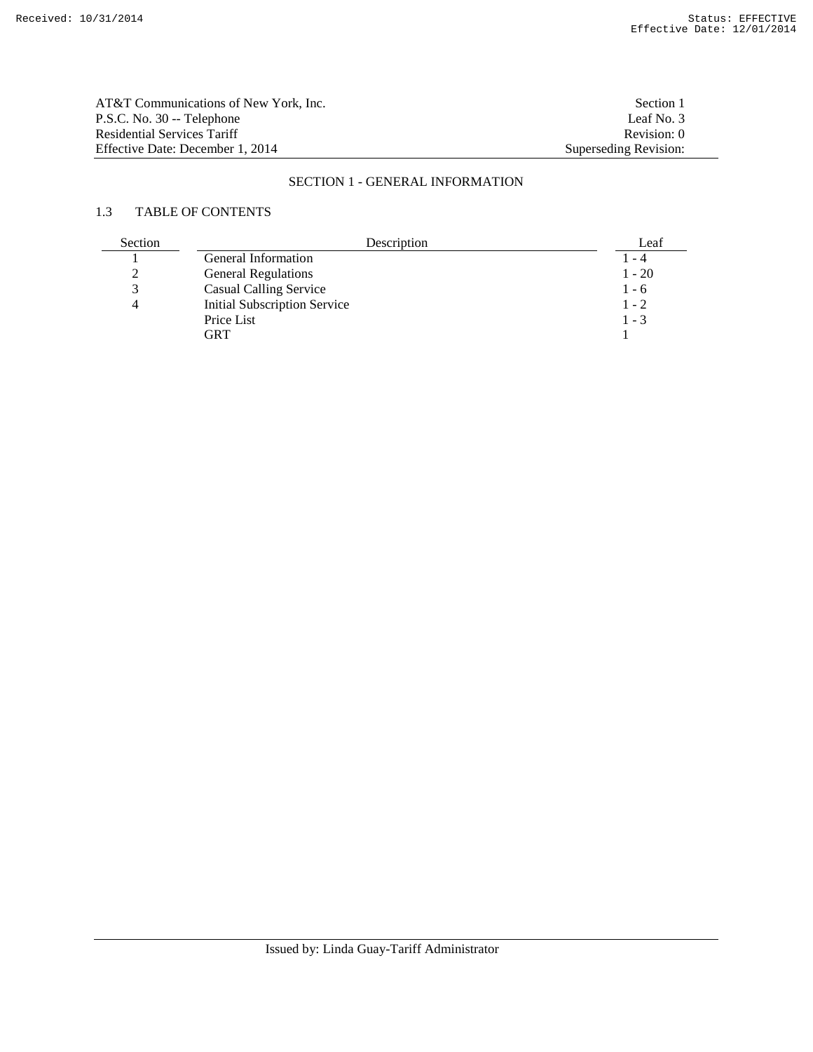| AT&T Communications of New York, Inc. | Section 1             |
|---------------------------------------|-----------------------|
| P.S.C. No. 30 -- Telephone            | Leaf No. 3            |
| Residential Services Tariff           | Revision: 0           |
| Effective Date: December 1, 2014      | Superseding Revision: |

# SECTION 1 - GENERAL INFORMATION

# 1.3 TABLE OF CONTENTS

| Section | Description                         | Leaf     |
|---------|-------------------------------------|----------|
|         | General Information                 | 1 - 4    |
|         | <b>General Regulations</b>          | $1 - 20$ |
|         | <b>Casual Calling Service</b>       | $1 - 6$  |
|         | <b>Initial Subscription Service</b> | $1 - 2$  |
|         | Price List                          | $1 - 3$  |
|         | GRT                                 |          |